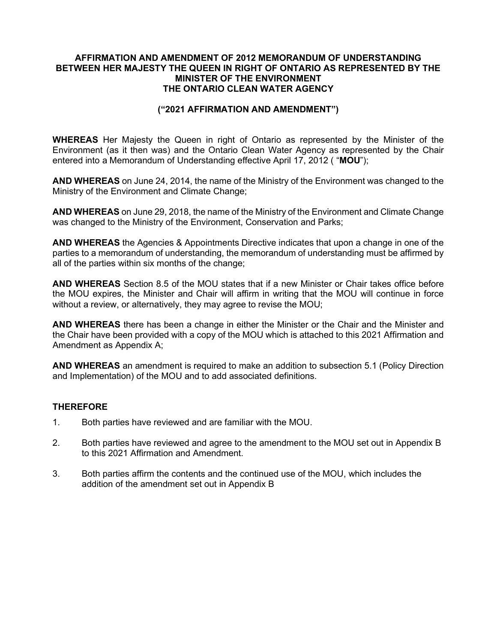## AFFIRMATION AND AMENDMENT OF 2012 MEMORANDUM OF UNDERSTANDING BETWEEN HER MAJESTY THE QUEEN IN RIGHT OF ONTARIO AS REPRESENTED BY THE MINISTER OF THE ENVIRONMENT THE ONTARIO CLEAN WATER AGENCY

### ("2021 AFFIRMATION AND AMENDMENT")

WHEREAS Her Majesty the Queen in right of Ontario as represented by the Minister of the Environment (as it then was) and the Ontario Clean Water Agency as represented by the Chair entered into a Memorandum of Understanding effective April 17, 2012 ("MOU");

AND WHEREAS on June 24, 2014, the name of the Ministry of the Environment was changed to the Ministry of the Environment and Climate Change;

AND WHEREAS on June 29, 2018, the name of the Ministry of the Environment and Climate Change was changed to the Ministry of the Environment, Conservation and Parks;

AND WHEREAS the Agencies & Appointments Directive indicates that upon a change in one of the parties to a memorandum of understanding, the memorandum of understanding must be affirmed by all of the parties within six months of the change;

AND WHEREAS Section 8.5 of the MOU states that if a new Minister or Chair takes office before the MOU expires, the Minister and Chair will affirm in writing that the MOU will continue in force without a review, or alternatively, they may agree to revise the MOU;

AND WHEREAS there has been a change in either the Minister or the Chair and the Minister and the Chair have been provided with a copy of the MOU which is attached to this 2021 Affirmation and Amendment as Appendix A;

AND WHEREAS an amendment is required to make an addition to subsection 5.1 (Policy Direction and Implementation) of the MOU and to add associated definitions.

# **THEREFORE**

- 1. Both parties have reviewed and are familiar with the MOU.
- 2. Both parties have reviewed and agree to the amendment to the MOU set out in Appendix B to this 2021 Affirmation and Amendment.
- 3. Both parties affirm the contents and the continued use of the MOU, which includes the addition of the amendment set out in Appendix B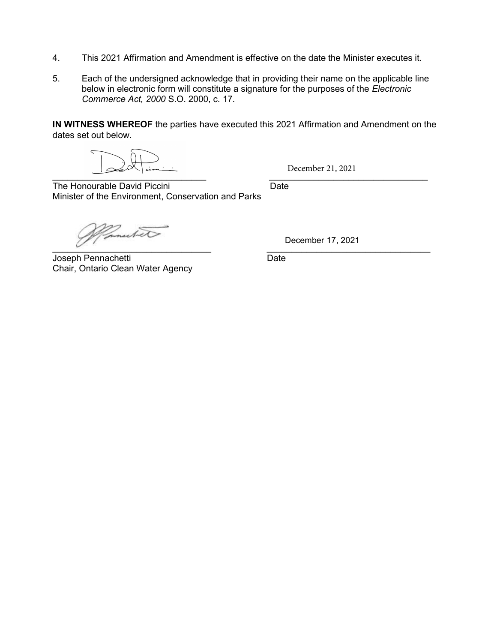- 4. This 2021 Affirmation and Amendment is effective on the date the Minister executes it.
- 5. Each of the undersigned acknowledge that in providing their name on the applicable line below in electronic form will constitute a signature for the purposes of the Electronic Commerce Act, 2000 S.O. 2000, c. 17.

IN WITNESS WHEREOF the parties have executed this 2021 Affirmation and Amendment on the dates set out below.

December 21, 2021

 $\overline{\phantom{a}}$  ,  $\overline{\phantom{a}}$  ,  $\overline{\phantom{a}}$  ,  $\overline{\phantom{a}}$  ,  $\overline{\phantom{a}}$  ,  $\overline{\phantom{a}}$  ,  $\overline{\phantom{a}}$  ,  $\overline{\phantom{a}}$  ,  $\overline{\phantom{a}}$  ,  $\overline{\phantom{a}}$  ,  $\overline{\phantom{a}}$  ,  $\overline{\phantom{a}}$  ,  $\overline{\phantom{a}}$  ,  $\overline{\phantom{a}}$  ,  $\overline{\phantom{a}}$  ,  $\overline{\phantom{a}}$ The Honourable David Piccini **Example 2018** Date Minister of the Environment, Conservation and Parks

nutato  $\mathcal{L}$  , we are the set of the set of the set of the set of the set of the set of the set of the set of the set of the set of the set of the set of the set of the set of the set of the set of the set of the set of the s

Joseph Pennachetti **Date** Chair, Ontario Clean Water Agency

December 17, 2021